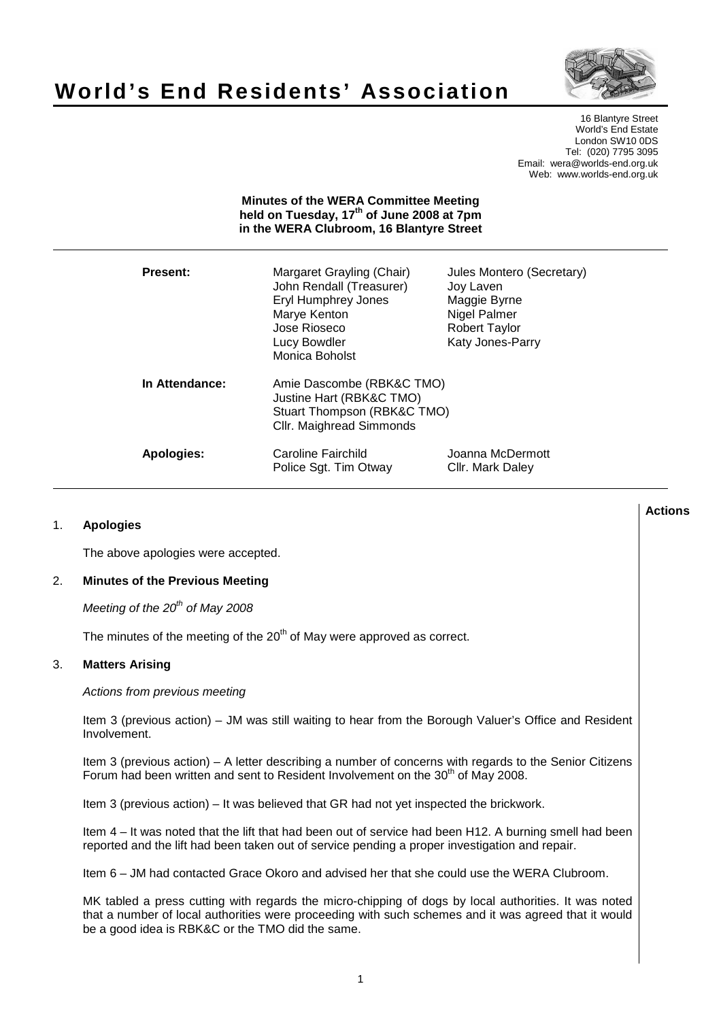# **World's End Residents' Association**



16 Blantyre Street World's End Estate London SW10 0DS Tel: (020) 7795 3095 Email: wera@worlds-end.org.uk Web: www.worlds-end.org.uk

# **Minutes of the WERA Committee Meeting held on Tuesday, 17th of June 2008 at 7pm in the WERA Clubroom, 16 Blantyre Street**

| <b>Present:</b> | Margaret Grayling (Chair)<br>John Rendall (Treasurer)<br><b>Eryl Humphrey Jones</b><br>Marye Kenton<br>Jose Rioseco<br>Lucy Bowdler<br>Monica Boholst | Jules Montero (Secretary)<br>Joy Laven<br>Maggie Byrne<br>Nigel Palmer<br><b>Robert Taylor</b><br>Katy Jones-Parry |
|-----------------|-------------------------------------------------------------------------------------------------------------------------------------------------------|--------------------------------------------------------------------------------------------------------------------|
| In Attendance:  | Amie Dascombe (RBK&C TMO)<br>Justine Hart (RBK&C TMO)<br>Stuart Thompson (RBK&C TMO)<br><b>CIIr. Maighread Simmonds</b>                               |                                                                                                                    |
| Apologies:      | Caroline Fairchild<br>Police Sgt. Tim Otway                                                                                                           | Joanna McDermott<br>Cllr. Mark Daley                                                                               |

# 1. **Apologies**

The above apologies were accepted.

## 2. **Minutes of the Previous Meeting**

Meeting of the  $20<sup>th</sup>$  of May 2008

The minutes of the meeting of the 20<sup>th</sup> of May were approved as correct.

# 3. **Matters Arising**

Actions from previous meeting

Item 3 (previous action) – JM was still waiting to hear from the Borough Valuer's Office and Resident Involvement.

Item 3 (previous action) – A letter describing a number of concerns with regards to the Senior Citizens Forum had been written and sent to Resident Involvement on the 30<sup>th</sup> of May 2008.

Item 3 (previous action) – It was believed that GR had not yet inspected the brickwork.

Item 4 – It was noted that the lift that had been out of service had been H12. A burning smell had been reported and the lift had been taken out of service pending a proper investigation and repair.

Item 6 – JM had contacted Grace Okoro and advised her that she could use the WERA Clubroom.

MK tabled a press cutting with regards the micro-chipping of dogs by local authorities. It was noted that a number of local authorities were proceeding with such schemes and it was agreed that it would be a good idea is RBK&C or the TMO did the same.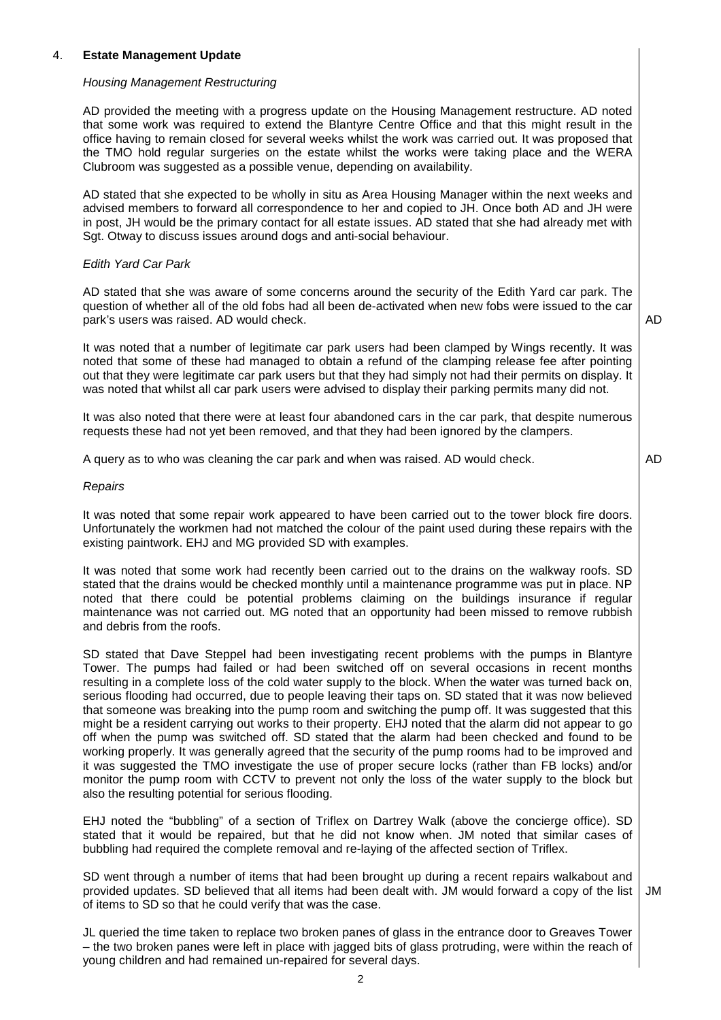# 4. **Estate Management Update**

#### Housing Management Restructuring

AD provided the meeting with a progress update on the Housing Management restructure. AD noted that some work was required to extend the Blantyre Centre Office and that this might result in the office having to remain closed for several weeks whilst the work was carried out. It was proposed that the TMO hold regular surgeries on the estate whilst the works were taking place and the WERA Clubroom was suggested as a possible venue, depending on availability.

AD stated that she expected to be wholly in situ as Area Housing Manager within the next weeks and advised members to forward all correspondence to her and copied to JH. Once both AD and JH were in post, JH would be the primary contact for all estate issues. AD stated that she had already met with Sgt. Otway to discuss issues around dogs and anti-social behaviour.

# Edith Yard Car Park

AD stated that she was aware of some concerns around the security of the Edith Yard car park. The question of whether all of the old fobs had all been de-activated when new fobs were issued to the car park's users was raised. AD would check.

It was noted that a number of legitimate car park users had been clamped by Wings recently. It was noted that some of these had managed to obtain a refund of the clamping release fee after pointing out that they were legitimate car park users but that they had simply not had their permits on display. It was noted that whilst all car park users were advised to display their parking permits many did not.

It was also noted that there were at least four abandoned cars in the car park, that despite numerous requests these had not yet been removed, and that they had been ignored by the clampers.

A query as to who was cleaning the car park and when was raised. AD would check.

AD

AD

## **Repairs**

It was noted that some repair work appeared to have been carried out to the tower block fire doors. Unfortunately the workmen had not matched the colour of the paint used during these repairs with the existing paintwork. EHJ and MG provided SD with examples.

It was noted that some work had recently been carried out to the drains on the walkway roofs. SD stated that the drains would be checked monthly until a maintenance programme was put in place. NP noted that there could be potential problems claiming on the buildings insurance if regular maintenance was not carried out. MG noted that an opportunity had been missed to remove rubbish and debris from the roofs.

SD stated that Dave Steppel had been investigating recent problems with the pumps in Blantyre Tower. The pumps had failed or had been switched off on several occasions in recent months resulting in a complete loss of the cold water supply to the block. When the water was turned back on, serious flooding had occurred, due to people leaving their taps on. SD stated that it was now believed that someone was breaking into the pump room and switching the pump off. It was suggested that this might be a resident carrying out works to their property. EHJ noted that the alarm did not appear to go off when the pump was switched off. SD stated that the alarm had been checked and found to be working properly. It was generally agreed that the security of the pump rooms had to be improved and it was suggested the TMO investigate the use of proper secure locks (rather than FB locks) and/or monitor the pump room with CCTV to prevent not only the loss of the water supply to the block but also the resulting potential for serious flooding.

EHJ noted the "bubbling" of a section of Triflex on Dartrey Walk (above the concierge office). SD stated that it would be repaired, but that he did not know when. JM noted that similar cases of bubbling had required the complete removal and re-laying of the affected section of Triflex.

SD went through a number of items that had been brought up during a recent repairs walkabout and provided updates. SD believed that all items had been dealt with. JM would forward a copy of the list of items to SD so that he could verify that was the case.

JM

JL queried the time taken to replace two broken panes of glass in the entrance door to Greaves Tower – the two broken panes were left in place with jagged bits of glass protruding, were within the reach of young children and had remained un-repaired for several days.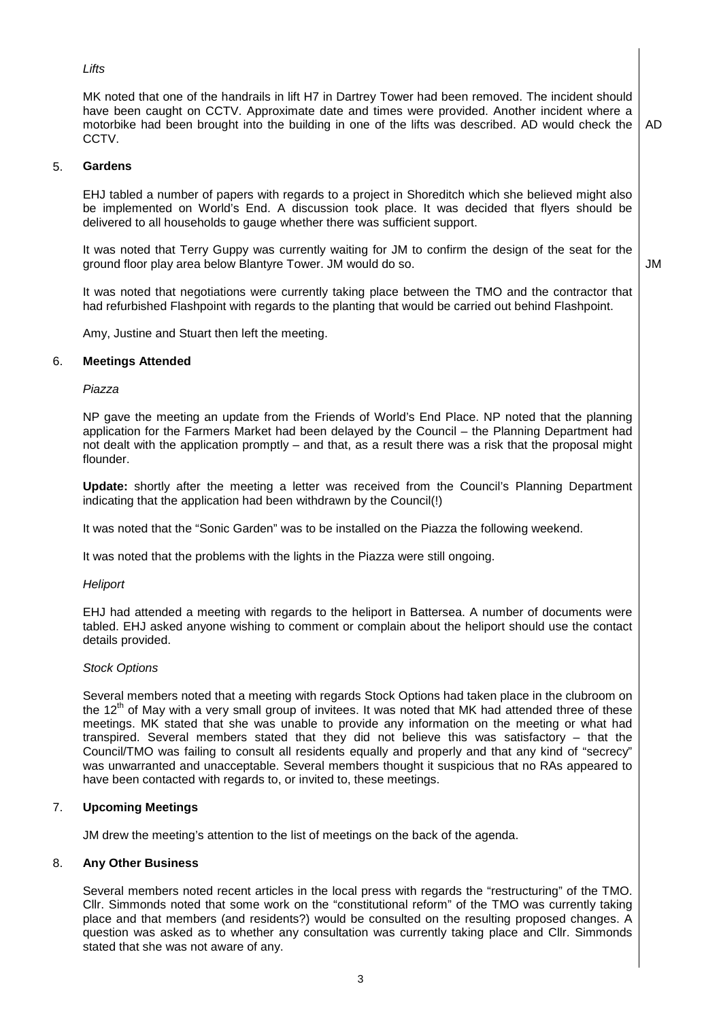# **Lifts**

MK noted that one of the handrails in lift H7 in Dartrey Tower had been removed. The incident should have been caught on CCTV. Approximate date and times were provided. Another incident where a motorbike had been brought into the building in one of the lifts was described. AD would check the CCTV.

AD

# 5. **Gardens**

EHJ tabled a number of papers with regards to a project in Shoreditch which she believed might also be implemented on World's End. A discussion took place. It was decided that flyers should be delivered to all households to gauge whether there was sufficient support.

It was noted that Terry Guppy was currently waiting for JM to confirm the design of the seat for the ground floor play area below Blantyre Tower. JM would do so.

JM

It was noted that negotiations were currently taking place between the TMO and the contractor that had refurbished Flashpoint with regards to the planting that would be carried out behind Flashpoint.

Amy, Justine and Stuart then left the meeting.

# 6. **Meetings Attended**

## Piazza

NP gave the meeting an update from the Friends of World's End Place. NP noted that the planning application for the Farmers Market had been delayed by the Council – the Planning Department had not dealt with the application promptly – and that, as a result there was a risk that the proposal might flounder.

**Update:** shortly after the meeting a letter was received from the Council's Planning Department indicating that the application had been withdrawn by the Council(!)

It was noted that the "Sonic Garden" was to be installed on the Piazza the following weekend.

It was noted that the problems with the lights in the Piazza were still ongoing.

## **Heliport**

EHJ had attended a meeting with regards to the heliport in Battersea. A number of documents were tabled. EHJ asked anyone wishing to comment or complain about the heliport should use the contact details provided.

## Stock Options

Several members noted that a meeting with regards Stock Options had taken place in the clubroom on the 12<sup>th</sup> of May with a very small group of invitees. It was noted that MK had attended three of these meetings. MK stated that she was unable to provide any information on the meeting or what had transpired. Several members stated that they did not believe this was satisfactory – that the Council/TMO was failing to consult all residents equally and properly and that any kind of "secrecy" was unwarranted and unacceptable. Several members thought it suspicious that no RAs appeared to have been contacted with regards to, or invited to, these meetings.

# 7. **Upcoming Meetings**

JM drew the meeting's attention to the list of meetings on the back of the agenda.

## 8. **Any Other Business**

Several members noted recent articles in the local press with regards the "restructuring" of the TMO. Cllr. Simmonds noted that some work on the "constitutional reform" of the TMO was currently taking place and that members (and residents?) would be consulted on the resulting proposed changes. A question was asked as to whether any consultation was currently taking place and Cllr. Simmonds stated that she was not aware of any.